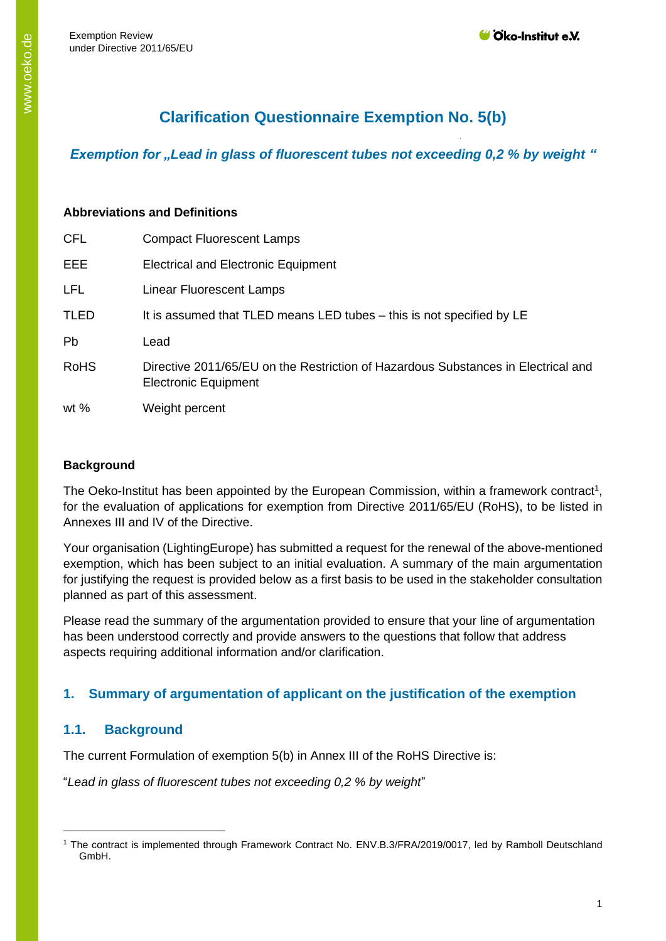# **Clarification Questionnaire Exemption No. 5(b)**

*Exemption for "Lead in glass of fluorescent tubes not exceeding 0,2 % by weight "* 

#### **Abbreviations and Definitions**

| <b>CFL</b>  | <b>Compact Fluorescent Lamps</b>                                                                                 |
|-------------|------------------------------------------------------------------------------------------------------------------|
| EEE         | <b>Electrical and Electronic Equipment</b>                                                                       |
| <b>LFL</b>  | Linear Fluorescent Lamps                                                                                         |
| <b>TLED</b> | It is assumed that TLED means LED tubes – this is not specified by LE                                            |
| Pb          | Lead                                                                                                             |
| <b>RoHS</b> | Directive 2011/65/EU on the Restriction of Hazardous Substances in Electrical and<br><b>Electronic Equipment</b> |
| wt $%$      | Weight percent                                                                                                   |

#### **Background**

The Oeko-Institut has been appointed by the European Commission, within a framework contract<sup>1</sup>, for the evaluation of applications for exemption from Directive 2011/65/EU (RoHS), to be listed in Annexes III and IV of the Directive.

Your organisation (LightingEurope) has submitted a request for the renewal of the above-mentioned exemption, which has been subject to an initial evaluation. A summary of the main argumentation for justifying the request is provided below as a first basis to be used in the stakeholder consultation planned as part of this assessment.

Please read the summary of the argumentation provided to ensure that your line of argumentation has been understood correctly and provide answers to the questions that follow that address aspects requiring additional information and/or clarification.

## **1. Summary of argumentation of applicant on the justification of the exemption**

## **1.1. Background**

The current Formulation of exemption 5(b) in Annex III of the RoHS Directive is:

"*Lead in glass of fluorescent tubes not exceeding 0,2 % by weight*"

<sup>1</sup> The contract is implemented through Framework Contract No. ENV.B.3/FRA/2019/0017, led by Ramboll Deutschland GmbH.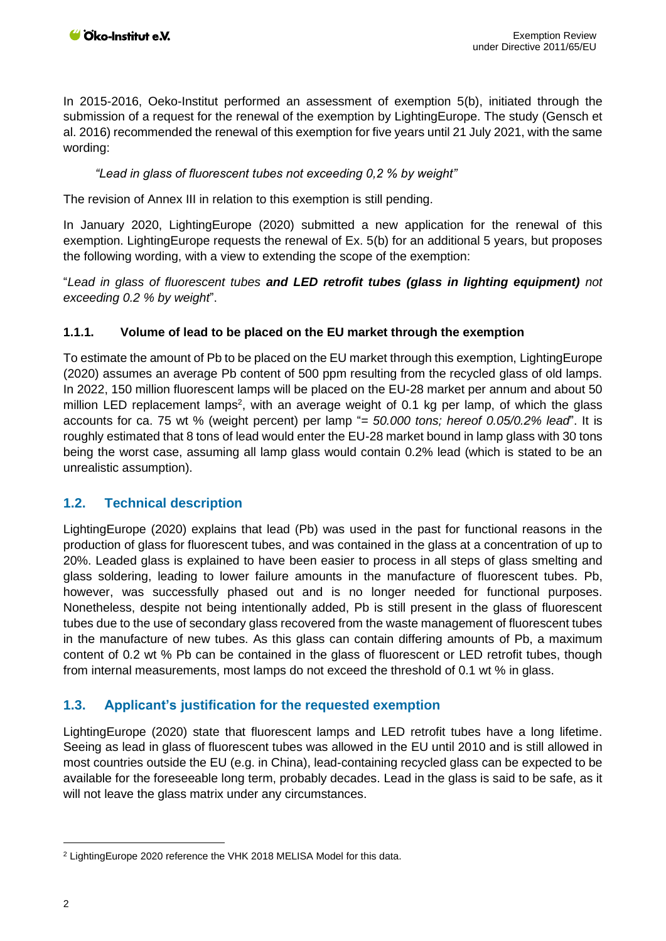In 2015-2016, Oeko-Institut performed an assessment of exemption 5(b), initiated through the submission of a request for the renewal of the exemption by LightingEurope. The study (Gensch et al. 2016) recommended the renewal of this exemption for five years until 21 July 2021, with the same wording:

#### *"Lead in glass of fluorescent tubes not exceeding 0,2 % by weight"*

The revision of Annex III in relation to this exemption is still pending.

In January 2020, LightingEurope (2020) submitted a new application for the renewal of this exemption. LightingEurope requests the renewal of Ex. 5(b) for an additional 5 years, but proposes the following wording, with a view to extending the scope of the exemption:

"*Lead in glass of fluorescent tubes and LED retrofit tubes (glass in lighting equipment) not exceeding 0.2 % by weight*".

#### **1.1.1. Volume of lead to be placed on the EU market through the exemption**

To estimate the amount of Pb to be placed on the EU market through this exemption, LightingEurope (2020) assumes an average Pb content of 500 ppm resulting from the recycled glass of old lamps. In 2022, 150 million fluorescent lamps will be placed on the EU-28 market per annum and about 50 million LED replacement lamps<sup>2</sup>, with an average weight of 0.1 kg per lamp, of which the glass accounts for ca. 75 wt % (weight percent) per lamp "*= 50.000 tons; hereof 0.05/0.2% lead*". It is roughly estimated that 8 tons of lead would enter the EU-28 market bound in lamp glass with 30 tons being the worst case, assuming all lamp glass would contain 0.2% lead (which is stated to be an unrealistic assumption).

#### **1.2. Technical description**

LightingEurope (2020) explains that lead (Pb) was used in the past for functional reasons in the production of glass for fluorescent tubes, and was contained in the glass at a concentration of up to 20%. Leaded glass is explained to have been easier to process in all steps of glass smelting and glass soldering, leading to lower failure amounts in the manufacture of fluorescent tubes. Pb, however, was successfully phased out and is no longer needed for functional purposes. Nonetheless, despite not being intentionally added, Pb is still present in the glass of fluorescent tubes due to the use of secondary glass recovered from the waste management of fluorescent tubes in the manufacture of new tubes. As this glass can contain differing amounts of Pb, a maximum content of 0.2 wt % Pb can be contained in the glass of fluorescent or LED retrofit tubes, though from internal measurements, most lamps do not exceed the threshold of 0.1 wt % in glass.

#### **1.3. Applicant's justification for the requested exemption**

LightingEurope (2020) state that fluorescent lamps and LED retrofit tubes have a long lifetime. Seeing as lead in glass of fluorescent tubes was allowed in the EU until 2010 and is still allowed in most countries outside the EU (e.g. in China), lead-containing recycled glass can be expected to be available for the foreseeable long term, probably decades. Lead in the glass is said to be safe, as it will not leave the glass matrix under any circumstances.

<sup>2</sup> LightingEurope 2020 reference the VHK 2018 MELISA Model for this data.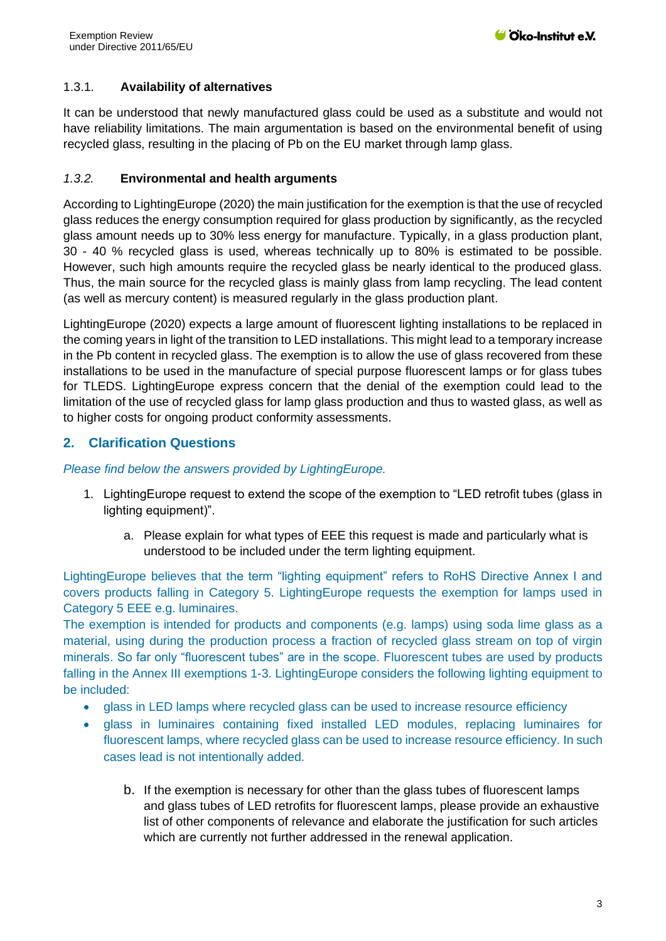### 1.3.1. **Availability of alternatives**

It can be understood that newly manufactured glass could be used as a substitute and would not have reliability limitations. The main argumentation is based on the environmental benefit of using recycled glass, resulting in the placing of Pb on the EU market through lamp glass.

#### *1.3.2.* **Environmental and health arguments**

According to LightingEurope (2020) the main justification for the exemption is that the use of recycled glass reduces the energy consumption required for glass production by significantly, as the recycled glass amount needs up to 30% less energy for manufacture. Typically, in a glass production plant, 30 - 40 % recycled glass is used, whereas technically up to 80% is estimated to be possible. However, such high amounts require the recycled glass be nearly identical to the produced glass. Thus, the main source for the recycled glass is mainly glass from lamp recycling. The lead content (as well as mercury content) is measured regularly in the glass production plant.

LightingEurope (2020) expects a large amount of fluorescent lighting installations to be replaced in the coming years in light of the transition to LED installations. This might lead to a temporary increase in the Pb content in recycled glass. The exemption is to allow the use of glass recovered from these installations to be used in the manufacture of special purpose fluorescent lamps or for glass tubes for TLEDS. LightingEurope express concern that the denial of the exemption could lead to the limitation of the use of recycled glass for lamp glass production and thus to wasted glass, as well as to higher costs for ongoing product conformity assessments.

## **2. Clarification Questions**

#### *Please find below the answers provided by LightingEurope.*

- 1. LightingEurope request to extend the scope of the exemption to "LED retrofit tubes (glass in lighting equipment)".
	- a. Please explain for what types of EEE this request is made and particularly what is understood to be included under the term lighting equipment.

LightingEurope believes that the term "lighting equipment" refers to RoHS Directive Annex I and covers products falling in Category 5. LightingEurope requests the exemption for lamps used in Category 5 EEE e.g. luminaires.

The exemption is intended for products and components (e.g. lamps) using soda lime glass as a material, using during the production process a fraction of recycled glass stream on top of virgin minerals. So far only "fluorescent tubes" are in the scope. Fluorescent tubes are used by products falling in the Annex III exemptions 1-3. LightingEurope considers the following lighting equipment to be included:

- glass in LED lamps where recycled glass can be used to increase resource efficiency
- glass in luminaires containing fixed installed LED modules, replacing luminaires for fluorescent lamps, where recycled glass can be used to increase resource efficiency. In such cases lead is not intentionally added.
	- b. If the exemption is necessary for other than the glass tubes of fluorescent lamps and glass tubes of LED retrofits for fluorescent lamps, please provide an exhaustive list of other components of relevance and elaborate the justification for such articles which are currently not further addressed in the renewal application.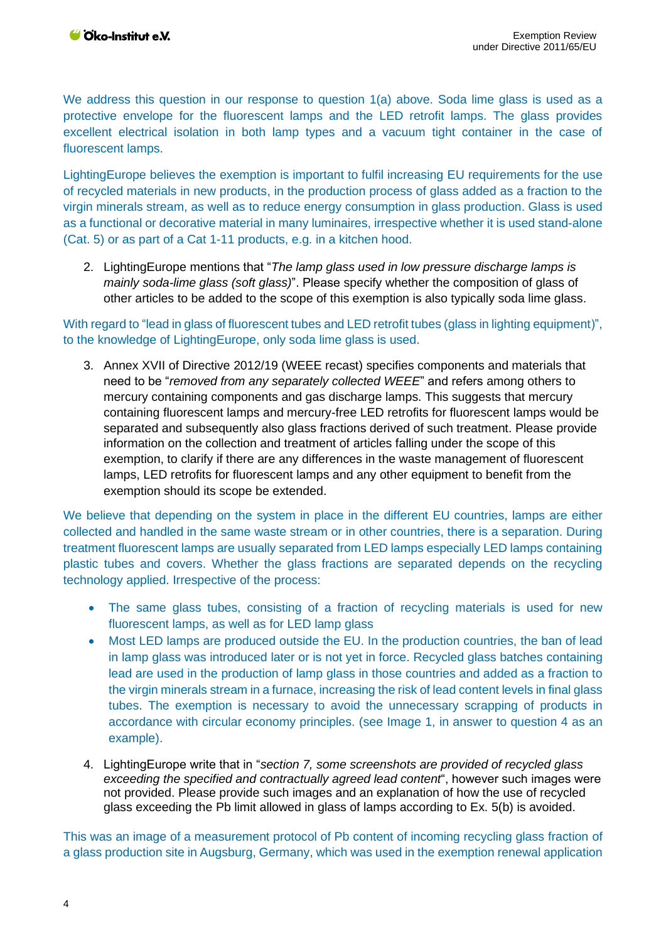We address this question in our response to question 1(a) above. Soda lime glass is used as a protective envelope for the fluorescent lamps and the LED retrofit lamps. The glass provides excellent electrical isolation in both lamp types and a vacuum tight container in the case of fluorescent lamps.

LightingEurope believes the exemption is important to fulfil increasing EU requirements for the use of recycled materials in new products, in the production process of glass added as a fraction to the virgin minerals stream, as well as to reduce energy consumption in glass production. Glass is used as a functional or decorative material in many luminaires, irrespective whether it is used stand-alone (Cat. 5) or as part of a Cat 1-11 products, e.g. in a kitchen hood.

2. LightingEurope mentions that "*The lamp glass used in low pressure discharge lamps is mainly soda-lime glass (soft glass)*". Please specify whether the composition of glass of other articles to be added to the scope of this exemption is also typically soda lime glass.

With regard to "lead in glass of fluorescent tubes and LED retrofit tubes (glass in lighting equipment)", to the knowledge of LightingEurope, only soda lime glass is used.

3. Annex XVII of Directive 2012/19 (WEEE recast) specifies components and materials that need to be "*removed from any separately collected WEEE*" and refers among others to mercury containing components and gas discharge lamps. This suggests that mercury containing fluorescent lamps and mercury-free LED retrofits for fluorescent lamps would be separated and subsequently also glass fractions derived of such treatment. Please provide information on the collection and treatment of articles falling under the scope of this exemption, to clarify if there are any differences in the waste management of fluorescent lamps, LED retrofits for fluorescent lamps and any other equipment to benefit from the exemption should its scope be extended.

We believe that depending on the system in place in the different EU countries, lamps are either collected and handled in the same waste stream or in other countries, there is a separation. During treatment fluorescent lamps are usually separated from LED lamps especially LED lamps containing plastic tubes and covers. Whether the glass fractions are separated depends on the recycling technology applied. Irrespective of the process:

- The same glass tubes, consisting of a fraction of recycling materials is used for new fluorescent lamps, as well as for LED lamp glass
- Most LED lamps are produced outside the EU. In the production countries, the ban of lead in lamp glass was introduced later or is not yet in force. Recycled glass batches containing lead are used in the production of lamp glass in those countries and added as a fraction to the virgin minerals stream in a furnace, increasing the risk of lead content levels in final glass tubes. The exemption is necessary to avoid the unnecessary scrapping of products in accordance with circular economy principles. (see Image 1, in answer to question 4 as an example).
- 4. LightingEurope write that in "*section 7, some screenshots are provided of recycled glass exceeding the specified and contractually agreed lead content*", however such images were not provided. Please provide such images and an explanation of how the use of recycled glass exceeding the Pb limit allowed in glass of lamps according to Ex. 5(b) is avoided.

This was an image of a measurement protocol of Pb content of incoming recycling glass fraction of a glass production site in Augsburg, Germany, which was used in the exemption renewal application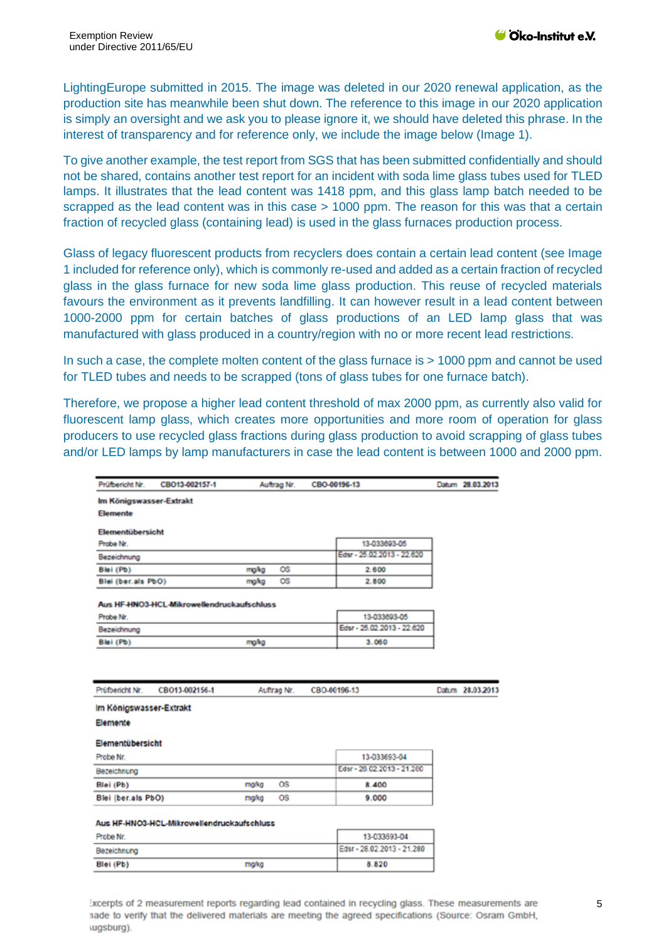LightingEurope submitted in 2015. The image was deleted in our 2020 renewal application, as the production site has meanwhile been shut down. The reference to this image in our 2020 application is simply an oversight and we ask you to please ignore it, we should have deleted this phrase. In the interest of transparency and for reference only, we include the image below (Image 1).

To give another example, the test report from SGS that has been submitted confidentially and should not be shared, contains another test report for an incident with soda lime glass tubes used for TLED lamps. It illustrates that the lead content was 1418 ppm, and this glass lamp batch needed to be scrapped as the lead content was in this case > 1000 ppm. The reason for this was that a certain fraction of recycled glass (containing lead) is used in the glass furnaces production process.

Glass of legacy fluorescent products from recyclers does contain a certain lead content (see Image 1 included for reference only), which is commonly re-used and added as a certain fraction of recycled glass in the glass furnace for new soda lime glass production. This reuse of recycled materials favours the environment as it prevents landfilling. It can however result in a lead content between 1000-2000 ppm for certain batches of glass productions of an LED lamp glass that was manufactured with glass produced in a country/region with no or more recent lead restrictions.

In such a case, the complete molten content of the glass furnace is > 1000 ppm and cannot be used for TLED tubes and needs to be scrapped (tons of glass tubes for one furnace batch).

Therefore, we propose a higher lead content threshold of max 2000 ppm, as currently also valid for fluorescent lamp glass, which creates more opportunities and more room of operation for glass producers to use recycled glass fractions during glass production to avoid scrapping of glass tubes and/or LED lamps by lamp manufacturers in case the lead content is between 1000 and 2000 ppm.

| Prüfbericht Nr.         | CBO13-002157-1                             |             | Auftrag Nr. | CBO-00196-13 |                            | Datum 28.03.2013 |
|-------------------------|--------------------------------------------|-------------|-------------|--------------|----------------------------|------------------|
| Im Königswasser-Extrakt |                                            |             |             |              |                            |                  |
| Elemente                |                                            |             |             |              |                            |                  |
| Elementübersicht        |                                            |             |             |              |                            |                  |
| Probe Nr.               |                                            |             |             |              | 13-033693-05               |                  |
| Bezeichnung             |                                            |             |             |              | Edsr - 25.02.2013 - 22.620 |                  |
| Blei (Pb)               |                                            | maka        | <b>OS</b>   |              | 2.600                      |                  |
| Blei (ber.als PbO)      |                                            | maka        | <b>OS</b>   |              | 2.800                      |                  |
|                         | Aus HF-HNO3-HCL-Mikrowellendruckaufschluss |             |             |              |                            |                  |
| Probe Nr.               |                                            |             |             |              | 13-033693-05               |                  |
| Bezeichnung             |                                            |             |             |              | Edsr - 25.02.2013 - 22.620 |                  |
| Blei (Pb)               |                                            | maka        |             |              | 3.060                      |                  |
|                         |                                            |             |             |              |                            |                  |
|                         |                                            |             |             |              |                            |                  |
| Prüfbericht Nr.         | CB013-002156-1                             | Auftrag Nr. |             | CBO-00196-13 |                            | Datum 28.03.2013 |
| Im Königswasser-Extrakt |                                            |             |             |              |                            |                  |
| Elemente                |                                            |             |             |              |                            |                  |
| Elementübersicht        |                                            |             |             |              |                            |                  |
| Probe Nr.               |                                            |             |             |              | 13-033693-04               |                  |
| Bezeichnung             |                                            |             |             |              | Edsr - 28.02.2013 - 21.280 |                  |
| Blei (Pb)               |                                            | ma/kg       | <b>OS</b>   |              | 8.400                      |                  |
| Blei (ber.als PbO)      |                                            | ma/kg       | <b>OS</b>   |              | 9.000                      |                  |
|                         |                                            |             |             |              |                            |                  |
|                         | Aus HF-HNO3-HCL-Mikrowellendruckaufschluss |             |             |              |                            |                  |
| Probe Nr                |                                            |             |             |              | 13-033693-04               |                  |
| Bezeichnung             |                                            |             |             |              | Edsr - 28.02.2013 - 21.280 |                  |

ixcerpts of 2 measurement reports regarding lead contained in recycling glass. These measurements are nade to verify that the delivered materials are meeting the agreed specifications (Source: Osram GmbH, (ugsburg).